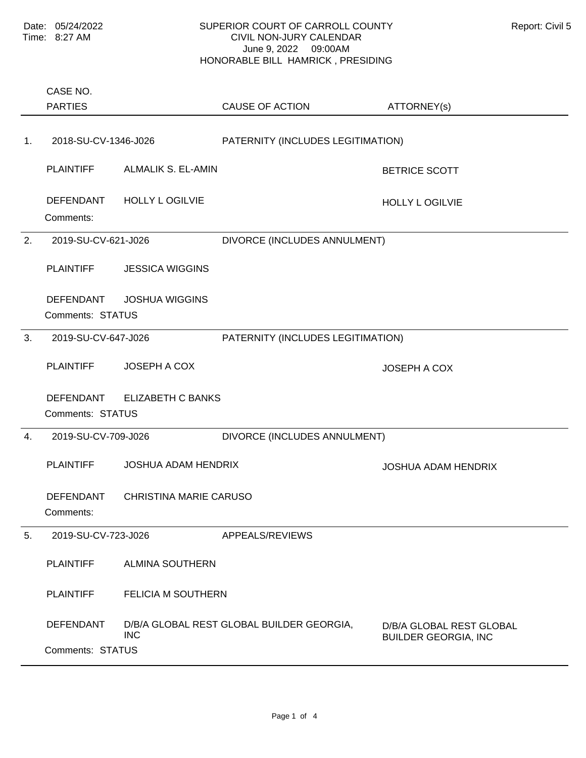|    | CASE NO.<br><b>PARTIES</b>           |                               | <b>CAUSE OF ACTION</b>                    | ATTORNEY(s)                                             |
|----|--------------------------------------|-------------------------------|-------------------------------------------|---------------------------------------------------------|
| 1. | 2018-SU-CV-1346-J026                 |                               | PATERNITY (INCLUDES LEGITIMATION)         |                                                         |
|    | <b>PLAINTIFF</b>                     | <b>ALMALIK S. EL-AMIN</b>     |                                           | <b>BETRICE SCOTT</b>                                    |
|    | DEFENDANT<br>Comments:               | <b>HOLLY L OGILVIE</b>        |                                           | <b>HOLLY L OGILVIE</b>                                  |
| 2. | 2019-SU-CV-621-J026                  |                               | DIVORCE (INCLUDES ANNULMENT)              |                                                         |
|    | <b>PLAINTIFF</b>                     | <b>JESSICA WIGGINS</b>        |                                           |                                                         |
|    | <b>DEFENDANT</b><br>Comments: STATUS | <b>JOSHUA WIGGINS</b>         |                                           |                                                         |
| 3. | 2019-SU-CV-647-J026                  |                               | PATERNITY (INCLUDES LEGITIMATION)         |                                                         |
|    | <b>PLAINTIFF</b>                     | <b>JOSEPH A COX</b>           |                                           | <b>JOSEPH A COX</b>                                     |
|    | <b>DEFENDANT</b><br>Comments: STATUS | <b>ELIZABETH C BANKS</b>      |                                           |                                                         |
| 4. | 2019-SU-CV-709-J026                  |                               | DIVORCE (INCLUDES ANNULMENT)              |                                                         |
|    | <b>PLAINTIFF</b>                     | <b>JOSHUA ADAM HENDRIX</b>    |                                           | <b>JOSHUA ADAM HENDRIX</b>                              |
|    | <b>DEFENDANT</b><br>Comments:        | <b>CHRISTINA MARIE CARUSO</b> |                                           |                                                         |
| 5. | 2019-SU-CV-723-J026                  |                               | APPEALS/REVIEWS                           |                                                         |
|    | <b>PLAINTIFF</b>                     | <b>ALMINA SOUTHERN</b>        |                                           |                                                         |
|    | <b>PLAINTIFF</b>                     | <b>FELICIA M SOUTHERN</b>     |                                           |                                                         |
|    | <b>DEFENDANT</b>                     | <b>INC</b>                    | D/B/A GLOBAL REST GLOBAL BUILDER GEORGIA, | D/B/A GLOBAL REST GLOBAL<br><b>BUILDER GEORGIA, INC</b> |
|    | Comments: STATUS                     |                               |                                           |                                                         |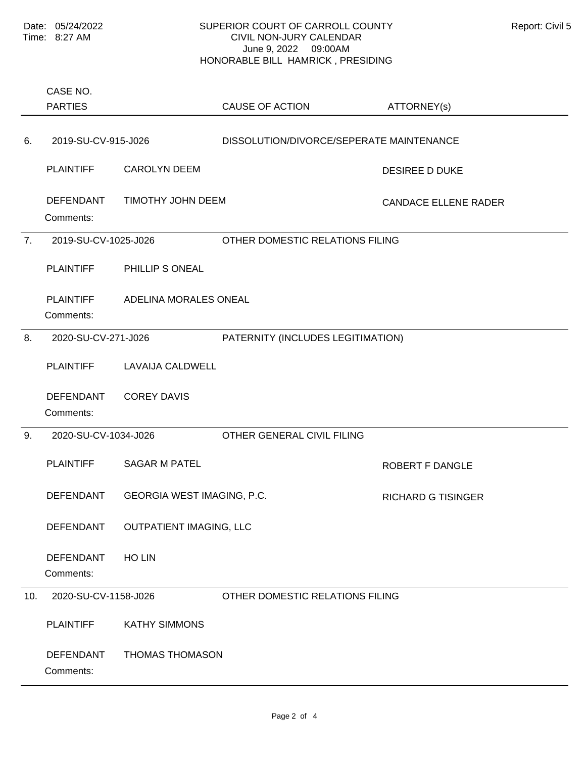|     | CASE NO.                                           |                            |                                          |                             |
|-----|----------------------------------------------------|----------------------------|------------------------------------------|-----------------------------|
|     | <b>PARTIES</b>                                     |                            | <b>CAUSE OF ACTION</b>                   | ATTORNEY(s)                 |
|     |                                                    |                            |                                          |                             |
| 6.  | 2019-SU-CV-915-J026                                |                            | DISSOLUTION/DIVORCE/SEPERATE MAINTENANCE |                             |
|     | <b>PLAINTIFF</b>                                   | <b>CAROLYN DEEM</b>        |                                          | <b>DESIREE D DUKE</b>       |
|     | <b>DEFENDANT</b><br>Comments:                      | TIMOTHY JOHN DEEM          |                                          | <b>CANDACE ELLENE RADER</b> |
| 7.  | 2019-SU-CV-1025-J026                               |                            | OTHER DOMESTIC RELATIONS FILING          |                             |
|     | <b>PLAINTIFF</b>                                   | PHILLIP S ONEAL            |                                          |                             |
|     | <b>PLAINTIFF</b><br>Comments:                      | ADELINA MORALES ONEAL      |                                          |                             |
| 8.  | 2020-SU-CV-271-J026                                |                            | PATERNITY (INCLUDES LEGITIMATION)        |                             |
|     | <b>PLAINTIFF</b>                                   | <b>LAVAIJA CALDWELL</b>    |                                          |                             |
|     | <b>DEFENDANT</b><br>Comments:                      | <b>COREY DAVIS</b>         |                                          |                             |
| 9.  | 2020-SU-CV-1034-J026                               |                            | OTHER GENERAL CIVIL FILING               |                             |
|     | <b>PLAINTIFF</b>                                   | <b>SAGAR M PATEL</b>       |                                          | <b>ROBERT F DANGLE</b>      |
|     | <b>DEFENDANT</b>                                   | GEORGIA WEST IMAGING, P.C. |                                          | <b>RICHARD G TISINGER</b>   |
|     | <b>OUTPATIENT IMAGING, LLC</b><br><b>DEFENDANT</b> |                            |                                          |                             |
|     | <b>DEFENDANT</b><br>Comments:                      | HO LIN                     |                                          |                             |
| 10. | 2020-SU-CV-1158-J026                               |                            | OTHER DOMESTIC RELATIONS FILING          |                             |
|     | <b>PLAINTIFF</b>                                   | <b>KATHY SIMMONS</b>       |                                          |                             |
|     | <b>DEFENDANT</b><br>Comments:                      | THOMAS THOMASON            |                                          |                             |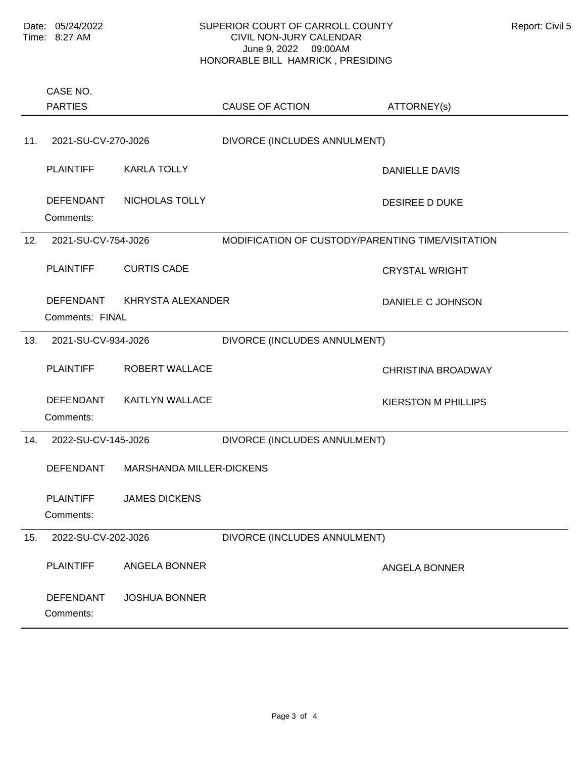|     | CASE NO.<br><b>PARTIES</b>                                   |                        | <b>CAUSE OF ACTION</b>                            | ATTORNEY(s)                |
|-----|--------------------------------------------------------------|------------------------|---------------------------------------------------|----------------------------|
|     |                                                              |                        |                                                   |                            |
| 11. | 2021-SU-CV-270-J026                                          |                        | DIVORCE (INCLUDES ANNULMENT)                      |                            |
|     | <b>PLAINTIFF</b>                                             | <b>KARLA TOLLY</b>     |                                                   | <b>DANIELLE DAVIS</b>      |
|     | <b>DEFENDANT</b><br>Comments:                                | NICHOLAS TOLLY         |                                                   | <b>DESIREE D DUKE</b>      |
| 12. | 2021-SU-CV-754-J026                                          |                        | MODIFICATION OF CUSTODY/PARENTING TIME/VISITATION |                            |
|     | <b>PLAINTIFF</b>                                             | <b>CURTIS CADE</b>     |                                                   | <b>CRYSTAL WRIGHT</b>      |
|     | <b>DEFENDANT</b>                                             | KHRYSTA ALEXANDER      |                                                   | DANIELE C JOHNSON          |
|     | Comments: FINAL                                              |                        |                                                   |                            |
| 13. | 2021-SU-CV-934-J026                                          |                        | DIVORCE (INCLUDES ANNULMENT)                      |                            |
|     | <b>PLAINTIFF</b>                                             | <b>ROBERT WALLACE</b>  |                                                   | <b>CHRISTINA BROADWAY</b>  |
|     | <b>DEFENDANT</b><br>Comments:                                | <b>KAITLYN WALLACE</b> |                                                   | <b>KIERSTON M PHILLIPS</b> |
| 14. | 2022-SU-CV-145-J026<br>DEFENDANT<br>MARSHANDA MILLER-DICKENS |                        | DIVORCE (INCLUDES ANNULMENT)                      |                            |
|     |                                                              |                        |                                                   |                            |
|     | <b>PLAINTIFF</b><br>Comments:                                | <b>JAMES DICKENS</b>   |                                                   |                            |
| 15. | 2022-SU-CV-202-J026                                          |                        | DIVORCE (INCLUDES ANNULMENT)                      |                            |
|     | <b>PLAINTIFF</b>                                             | ANGELA BONNER          |                                                   | <b>ANGELA BONNER</b>       |
|     | <b>DEFENDANT</b><br>Comments:                                | <b>JOSHUA BONNER</b>   |                                                   |                            |